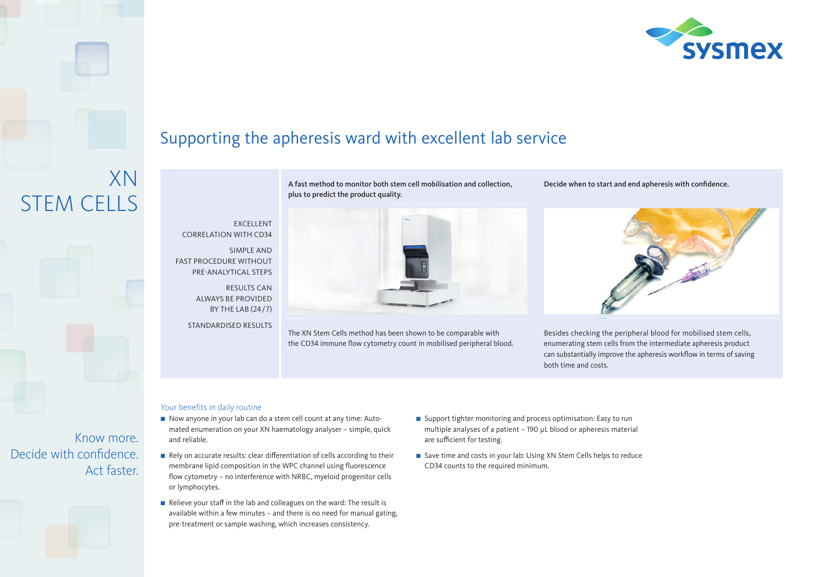

## Supporting the apheresis ward with excellent lab service

**EXCELLENT** CORRELATION WITH CD34

SIMPLE AND FAST PROCEDURE WITHOUT PRE-ANALYTICAL STEPS

> RESULTS CAN ALWAYS BE PROVIDED BY THE LAB (24/7)

STANDARDISED RESULTS

A fast method to monitor both stem cell mobilisation and collection, plus to predict the product quality.



The XN Stem Cells method has been shown to be comparable with the CD34 immune flow cytometry count in mobilised peripheral blood. Decide when to start and end apheresis with confidence.



Besides checking the peripheral blood for mobilised stem cells, enumerating stem cells from the intermediate apheresis product can substantially improve the apheresis workflow in terms of saving both time and costs.

## Your benefits in daily routine

- Now anyone in your lab can do a stem cell count at any time: Automated enumeration on your XN haematology analyser – simple, quick and reliable.
- $\blacksquare$  Rely on accurate results: clear differentiation of cells according to their membrane lipid composition in the WPC channel using fluorescence flow cytometry – no interference with NRBC, myeloid progenitor cells or lymphocytes.
- Relieve your staff in the lab and colleagues on the ward: The result is available within a few minutes – and there is no need for manual gating, pre-treatment or sample washing, which increases consistency.
- $\blacksquare$  Support tighter monitoring and process optimisation: Easy to run multiple analyses of a patient - 190 µL blood or apheresis material are sufficient for testing.
- Save time and costs in your lab: Using XN Stem Cells helps to reduce CD34 counts to the required minimum.

Know more. Decide with confidence. Act faster.

XN

STEM CELLS